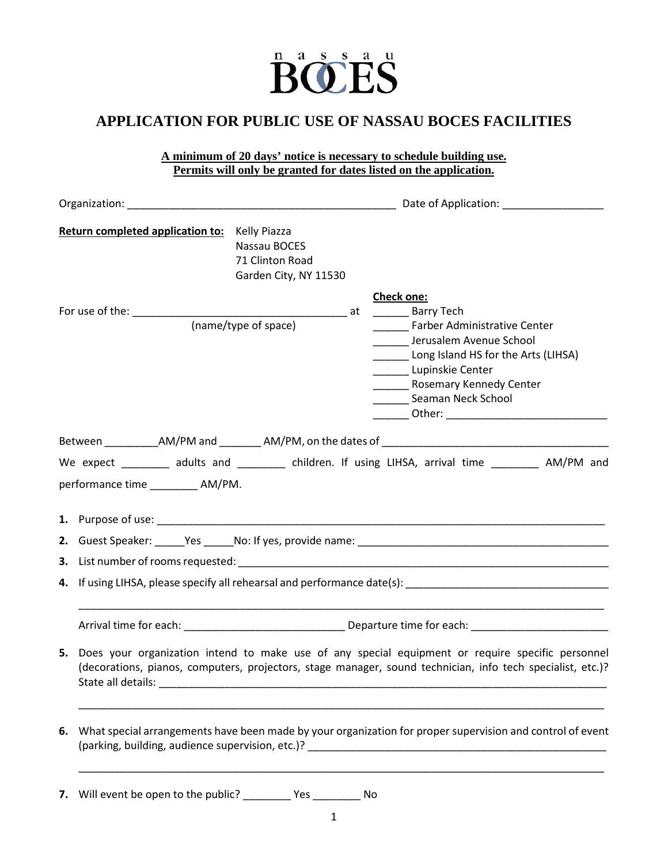

## **APPLICATION FOR PUBLIC USE OF NASSAU BOCES FACILITIES**

**A minimum of 20 days' notice is necessary to schedule building use. Permits will only be granted for dates listed on the application.**

|    | Return completed application to: Kelly Piazza<br>Nassau BOCES<br>71 Clinton Road<br>Garden City, NY 11530                                                                                                                                                                                                                                                     |                                                                                                                                                                                                   |  |  |  |  |  |
|----|---------------------------------------------------------------------------------------------------------------------------------------------------------------------------------------------------------------------------------------------------------------------------------------------------------------------------------------------------------------|---------------------------------------------------------------------------------------------------------------------------------------------------------------------------------------------------|--|--|--|--|--|
|    | (name/type of space)                                                                                                                                                                                                                                                                                                                                          | Check one:<br>Farber Administrative Center<br>______ Jerusalem Avenue School<br>Long Island HS for the Arts (LIHSA)<br>Lupinskie Center<br>Rosemary Kennedy Center<br>________ Seaman Neck School |  |  |  |  |  |
|    |                                                                                                                                                                                                                                                                                                                                                               |                                                                                                                                                                                                   |  |  |  |  |  |
|    | We expect ________ adults and ________ children. If using LIHSA, arrival time ________ AM/PM and<br>performance time ___________ AM/PM.                                                                                                                                                                                                                       |                                                                                                                                                                                                   |  |  |  |  |  |
|    |                                                                                                                                                                                                                                                                                                                                                               |                                                                                                                                                                                                   |  |  |  |  |  |
|    |                                                                                                                                                                                                                                                                                                                                                               |                                                                                                                                                                                                   |  |  |  |  |  |
|    |                                                                                                                                                                                                                                                                                                                                                               |                                                                                                                                                                                                   |  |  |  |  |  |
|    |                                                                                                                                                                                                                                                                                                                                                               |                                                                                                                                                                                                   |  |  |  |  |  |
|    |                                                                                                                                                                                                                                                                                                                                                               |                                                                                                                                                                                                   |  |  |  |  |  |
|    | 5. Does your organization intend to make use of any special equipment or require specific personnel<br>(decorations, pianos, computers, projectors, stage manager, sound technician, info tech specialist, etc.)?<br>State all details:<br><u> 1980 - Jan James James James James James James James James James James James James James James James James</u> |                                                                                                                                                                                                   |  |  |  |  |  |
| 6. | What special arrangements have been made by your organization for proper supervision and control of event                                                                                                                                                                                                                                                     |                                                                                                                                                                                                   |  |  |  |  |  |
|    |                                                                                                                                                                                                                                                                                                                                                               |                                                                                                                                                                                                   |  |  |  |  |  |

**7.** Will event be open to the public? \_\_\_\_\_\_\_\_ Yes \_\_\_\_\_\_\_\_ No